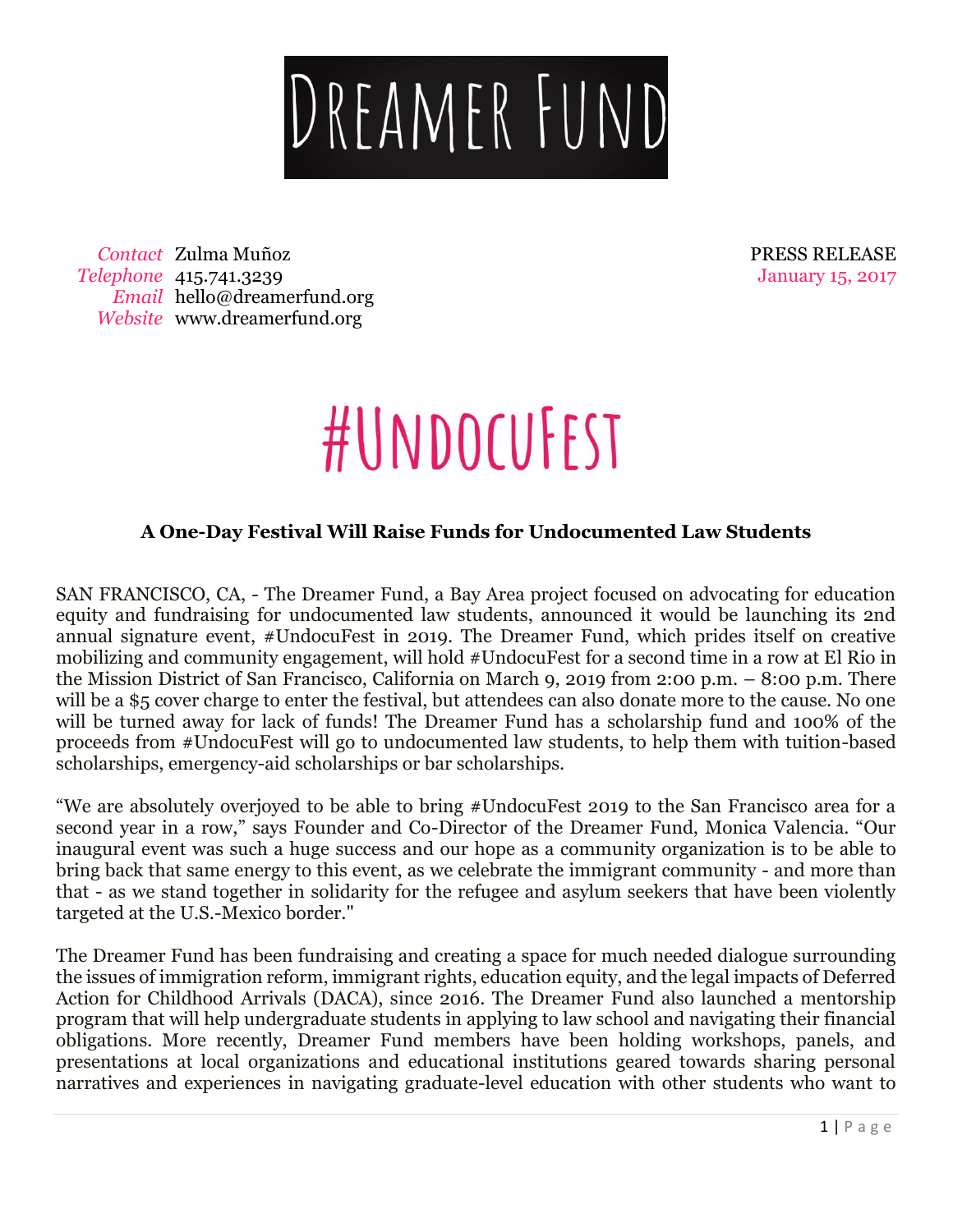

*Contact* Zulma Muñoz *Telephone* 415.741.3239 *Email* hello@dreamerfund.org *Website* www.dreamerfund.org

PRESS RELEASE January 15, 2017

## #UNDOCUFEST

#### **A One-Day Festival Will Raise Funds for Undocumented Law Students**

SAN FRANCISCO, CA, - The Dreamer Fund, a Bay Area project focused on advocating for education equity and fundraising for undocumented law students, announced it would be launching its 2nd annual signature event, #UndocuFest in 2019. The Dreamer Fund, which prides itself on creative mobilizing and community engagement, will hold #UndocuFest for a second time in a row at El Rio in the Mission District of San Francisco, California on March 9, 2019 from 2:00 p.m. – 8:00 p.m. There will be a \$5 cover charge to enter the festival, but attendees can also donate more to the cause. No one will be turned away for lack of funds! The Dreamer Fund has a scholarship fund and 100% of the proceeds from #UndocuFest will go to undocumented law students, to help them with tuition-based scholarships, emergency-aid scholarships or bar scholarships.

"We are absolutely overjoyed to be able to bring #UndocuFest 2019 to the San Francisco area for a second year in a row," says Founder and Co-Director of the Dreamer Fund, Monica Valencia. "Our inaugural event was such a huge success and our hope as a community organization is to be able to bring back that same energy to this event, as we celebrate the immigrant community - and more than that - as we stand together in solidarity for the refugee and asylum seekers that have been violently targeted at the U.S.-Mexico border."

The Dreamer Fund has been fundraising and creating a space for much needed dialogue surrounding the issues of immigration reform, immigrant rights, education equity, and the legal impacts of Deferred Action for Childhood Arrivals (DACA), since 2016. The Dreamer Fund also launched a mentorship program that will help undergraduate students in applying to law school and navigating their financial obligations. More recently, Dreamer Fund members have been holding workshops, panels, and presentations at local organizations and educational institutions geared towards sharing personal narratives and experiences in navigating graduate-level education with other students who want to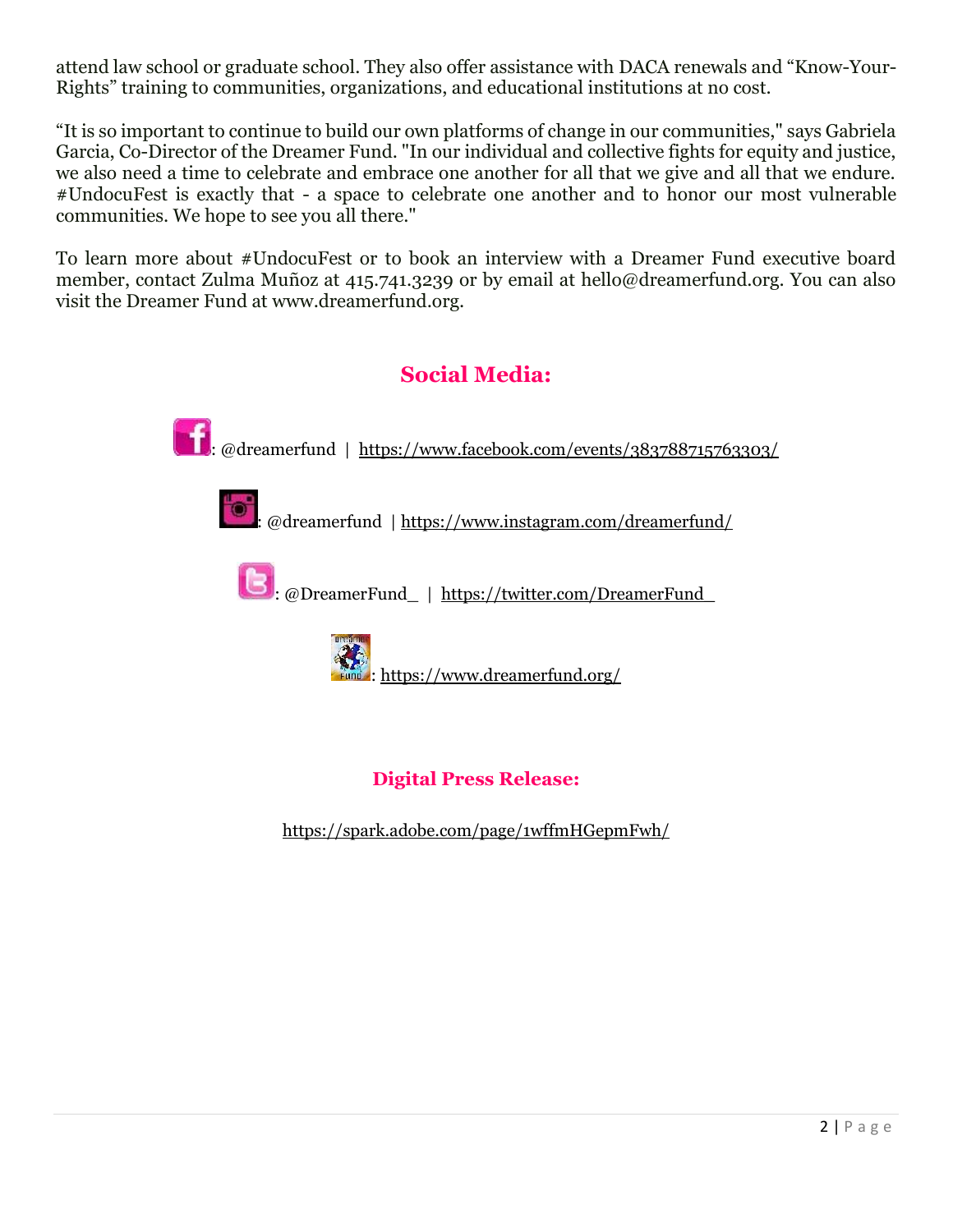attend law school or graduate school. They also offer assistance with DACA renewals and "Know-Your-Rights" training to communities, organizations, and educational institutions at no cost.

"It is so important to continue to build our own platforms of change in our communities," says Gabriela Garcia, Co-Director of the Dreamer Fund. "In our individual and collective fights for equity and justice, we also need a time to celebrate and embrace one another for all that we give and all that we endure. #UndocuFest is exactly that - a space to celebrate one another and to honor our most vulnerable communities. We hope to see you all there."

To learn more about #UndocuFest or to book an interview with a Dreamer Fund executive board member, contact Zulma Muñoz at 415.741.3239 or by email at hello@dreamerfund.org. You can also visit the Dreamer Fund at www.dreamerfund.org.



<https://spark.adobe.com/page/1wffmHGepmFwh/>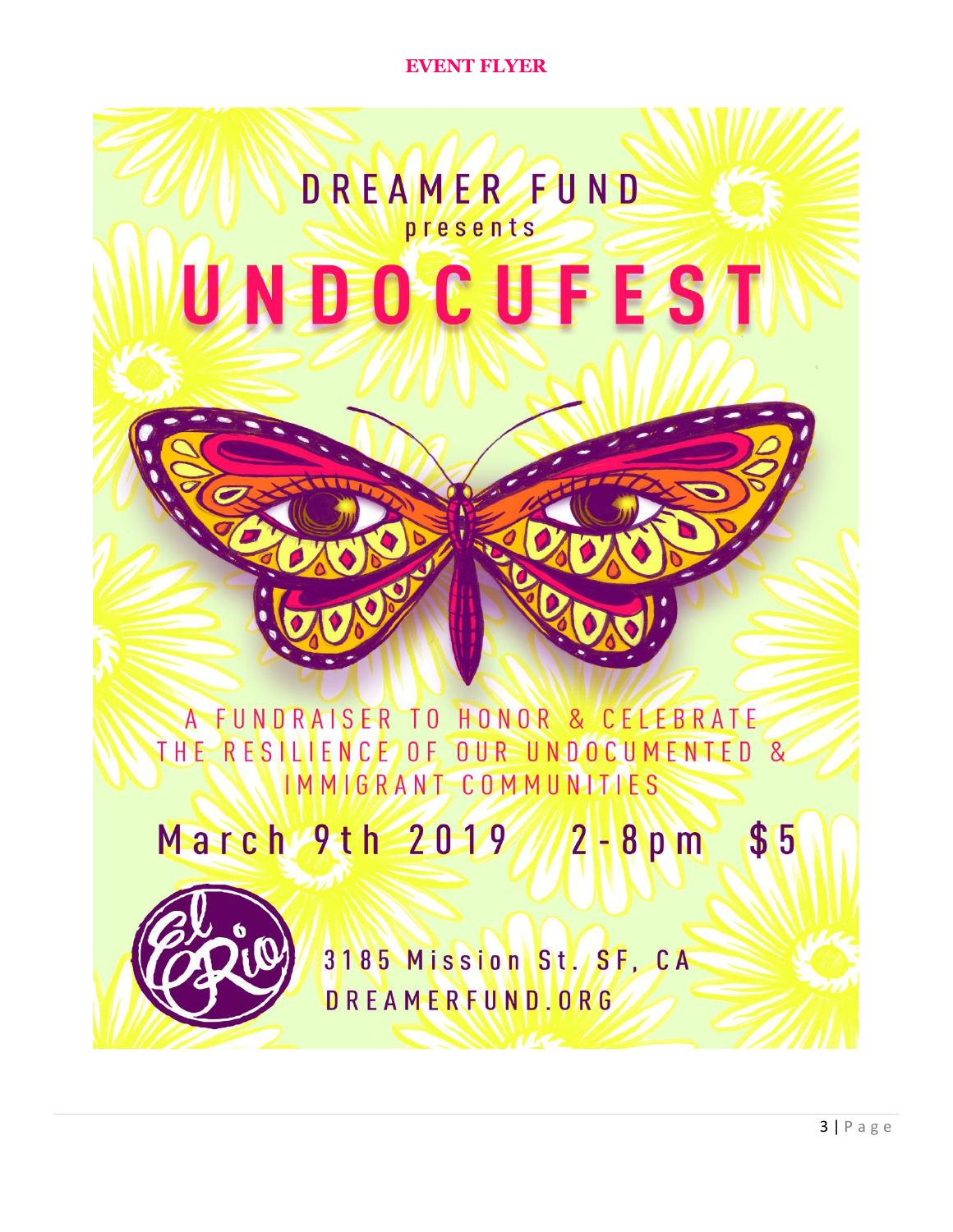**EVENT FLYER** 

### **DREAMERFUND** presents UNDOCUFEST

A FUNDRAISER TO HONOR & CELEBRATE THE RESILIENCE OF OUR UNDOCUMENTED & IMMIGRANT COMMUNITIES

March 9th 2019 2-8pm \$5



3185 Mission St. SF. CA DREAMERFUND.ORG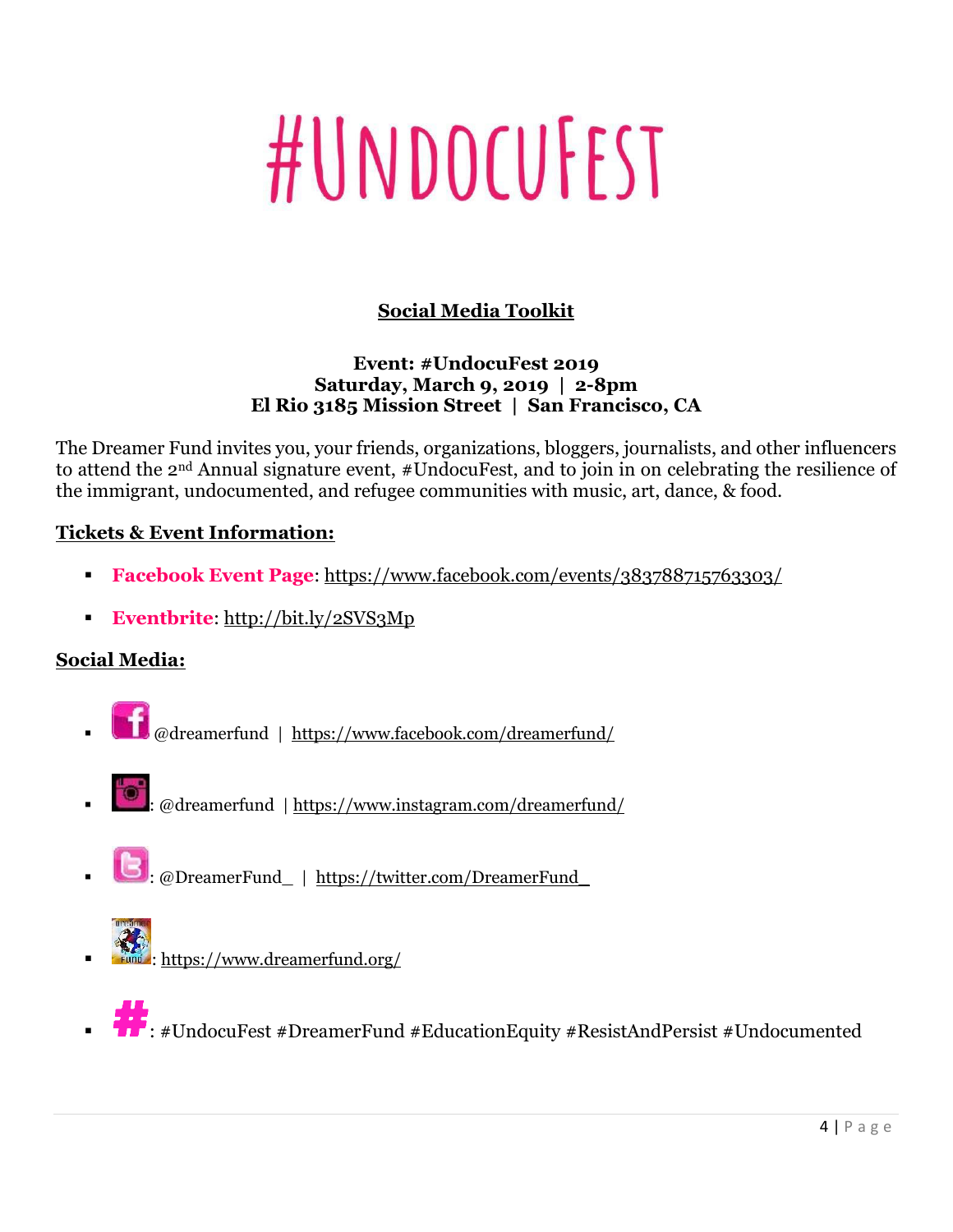# #UNDOCUFEST

#### **Social Media Toolkit**

#### **Event: #UndocuFest 2019 Saturday, March 9, 2019 | 2-8pm El Rio 3185 Mission Street | San Francisco, CA**

The Dreamer Fund invites you, your friends, organizations, bloggers, journalists, and other influencers to attend the 2nd Annual signature event, #UndocuFest, and to join in on celebrating the resilience of the immigrant, undocumented, and refugee communities with music, art, dance, & food.

#### **Tickets & Event Information:**

- **Facebook Event Page**:<https://www.facebook.com/events/383788715763303/>
- **Eventbrite**:<http://bit.ly/2SVS3Mp>

#### **Social Media:**

- @dreamerfund |<https://www.facebook.com/dreamerfund/>
	- : @dreamerfund |<https://www.instagram.com/dreamerfund/>
- : @DreamerFund\_ | [https://twitter.com/DreamerFund\\_](https://twitter.com/DreamerFund_)
	-
	- :<https://www.dreamerfund.org/>



: #UndocuFest #DreamerFund #EducationEquity #ResistAndPersist #Undocumented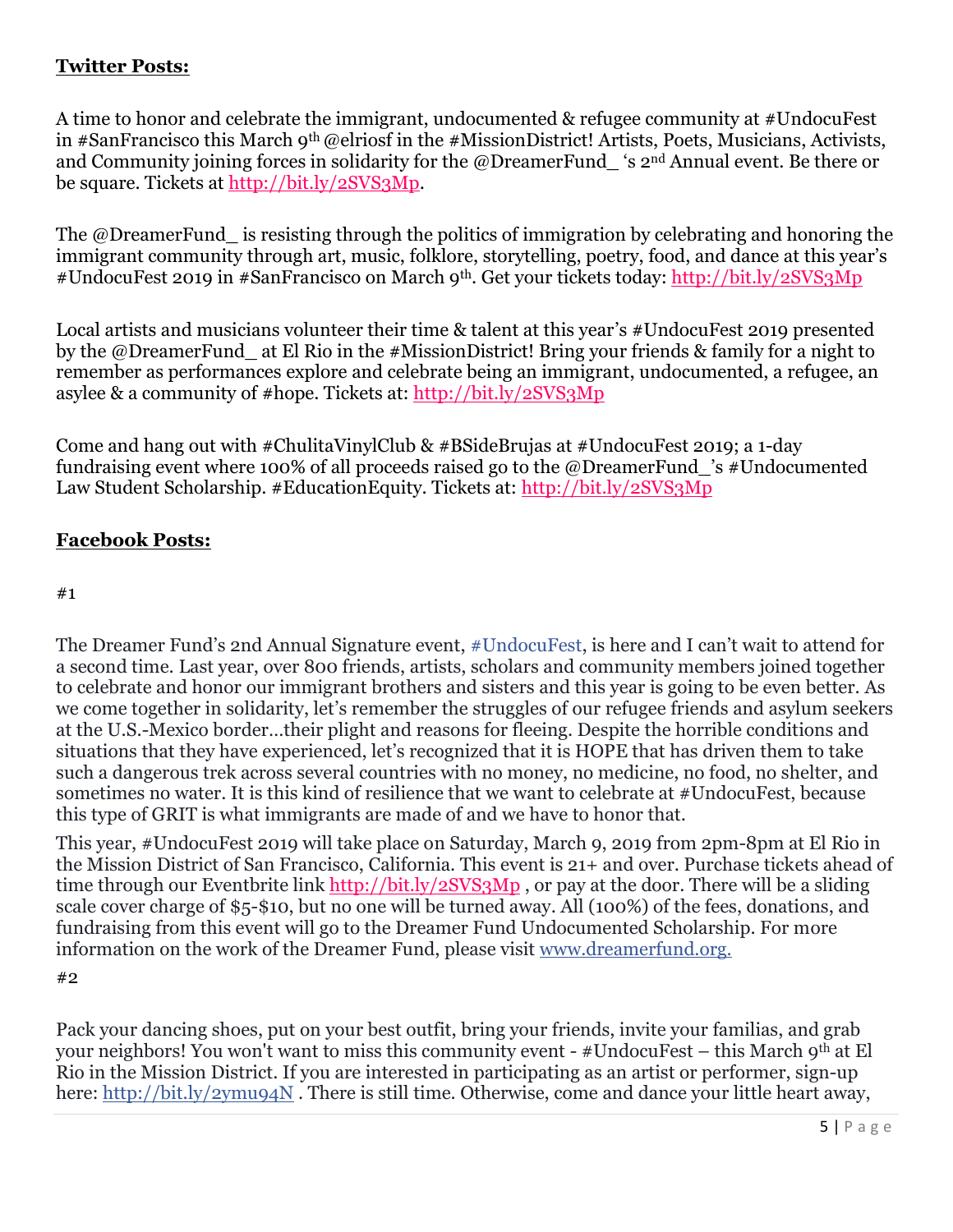#### **Twitter Posts:**

A time to honor and celebrate the immigrant, undocumented & refugee community at #UndocuFest in #SanFrancisco this March 9th @elriosf in the #MissionDistrict! Artists, Poets, Musicians, Activists, and Community joining forces in solidarity for the @DreamerFund\_ 's 2nd Annual event. Be there or be square. Tickets at [http://bit.ly/2SVS3Mp.](http://bit.ly/2SVS3Mp)

The @DreamerFund is resisting through the politics of immigration by celebrating and honoring the immigrant community through art, music, folklore, storytelling, poetry, food, and dance at this year's #UndocuFest 2019 in #SanFrancisco on March 9th. Get your tickets today:<http://bit.ly/2SVS3Mp>

Local artists and musicians volunteer their time & talent at this year's #UndocuFest 2019 presented by the @DreamerFund at El Rio in the #MissionDistrict! Bring your friends & family for a night to remember as performances explore and celebrate being an immigrant, undocumented, a refugee, an asylee & a community of #hope. Tickets at:<http://bit.ly/2SVS3Mp>

Come and hang out with #ChulitaVinylClub & #BSideBrujas at #UndocuFest 2019; a 1-day fundraising event where 100% of all proceeds raised go to the @DreamerFund 's #Undocumented Law Student Scholarship. #EducationEquity. Tickets at:<http://bit.ly/2SVS3Mp>

#### **Facebook Posts:**

#### #1

The Dreamer Fund's 2nd Annual Signature event, [#UndocuFest,](https://www.facebook.com/hashtag/undocufest?source=feed_text&epa=HASHTAG&__xts__%5B0%5D=68.ARDkuUkGCAVhMoYQjOj0_0RG4a0aMaldpOmyirlh6gEE-QgN5rck6JN1Xa_K8iHHL_n2Hb42sBQC3TQewtU9gH8Vw9WINN6WRjdlWdqCMRHv3rxomvPYaAHJV5ieqTlCYCkLVw7ZEogh-1s_w7eTuOONOmaLErVM3lH8A_NAkkra1GSJhR7ZTR7BQQJYJrSJ2bnfZJD-9yodUnLMcVS8pY8ZcKQBJ8HIN44cyjRX_U77PiqX2nh-4r31Yr_NXR5xnpZTbcvXFsSsvLts9yaabg&__tn__=%2ANK-R) is here and I can't wait to attend for a second time. Last year, over 800 friends, artists, scholars and community members joined together to celebrate and honor our immigrant brothers and sisters and this year is going to be even better. As we come together in solidarity, let's remember the struggles of our refugee friends and asylum seekers at the U.S.-Mexico border…their plight and reasons for fleeing. Despite the horrible conditions and situations that they have experienced, let's recognized that it is HOPE that has driven them to take such a dangerous trek across several countries with no money, no medicine, no food, no shelter, and sometimes no water. It is this kind of resilience that we want to celebrate at #UndocuFest, because this type of GRIT is what immigrants are made of and we have to honor that.

This year, #UndocuFest 2019 will take place on Saturday, March 9, 2019 from 2pm-8pm at El Rio in the Mission District of San Francisco, California. This event is 21+ and over. Purchase tickets ahead of time through our Eventbrite link<http://bit.ly/2SVS3Mp>, or pay at the door. There will be a sliding scale cover charge of \$5-\$10, but no one will be turned away. All (100%) of the fees, donations, and fundraising from this event will go to the Dreamer Fund Undocumented Scholarship. For more information on the work of the Dreamer Fund, please visit [www.dreamerfund.org.](http://www.dreamerfund.org/?fbclid=IwAR0gubO3wxt23v8iR4B5JYqFfBA6OYSrZd4PxPKuZvMUm9P2tEPl-ocMmX0)

#2

Pack your dancing shoes, put on your best outfit, bring your friends, invite your familias, and grab your neighbors! You won't want to miss this community event - #UndocuFest – this March 9th at El Rio in the Mission District. If you are interested in participating as an artist or performer, sign-up here: [http://bit.ly/2ymu94N](https://l.facebook.com/l.php?u=https%3A%2F%2Fbit.ly%2F2ymu94N%3Ffbclid%3DIwAR3yi3rv4ZlupVomKUVDNMVT6Sp02vhV_ZtkBSrJIGdCyGGmR-LNazDjlCg&h=AT24qRDKssSmcfbTcLOOtXt60NTdE4HdlELRDyDPlacWyEVbsqUPULQfeZ7Myp3sY1T6gBxZYWPSKToly8o2U1X9tvdwVV9C_0LZM_rXQ7k3RZ2WnWXbJsPm6_FIYbcdyeYHA1A-ewirxw0ZomMMN8ccoWnBG98SWwAhHuGkM8agTOy2zNoHzThPJchaKGrSFLVCEzRm1FjfoRZla22ozdtlzWXW1XYbdJK5n5P5kM4aH7CFLWJbhmEV-yvRyh8QiR2Ure12vhPu_nlGzyqC5jNpCqtNXnjWxZNblC19oUWXMP2e8GcLBPaRpNZzfjZgTEZVYsRpNkKK6_YgbDoTyDpqQyl8NdXPzsysuHgMrfuPSvXc8qyfx4u9-OKXm9mC0IrWpEuLMzh2q1BZofVQPlkslZPAq6JkU1BnSPkbRsG0PK5urOpY_tOOWePv8C9q5omW7GydhxocaGVkKkC-GDdbBXtIBU4ZsPMM9ftbWtDkSVTZTk_bs2pQ4ue7ehgBY25aaHPmoqZ_Wh29jAXSAshx6IQKHPPhjXl2C5FEIiC-qzTn). There is still time. Otherwise, come and dance your little heart away,